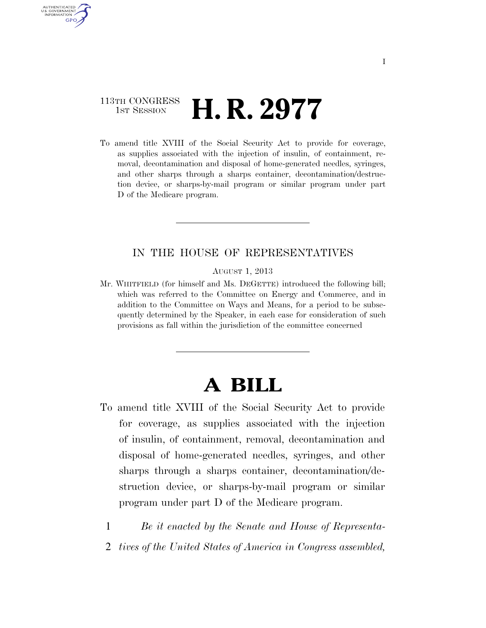## 113TH CONGRESS TH CONGRESS **H. R. 2977**

AUTHENTICATED U.S. GOVERNMENT GPO

> To amend title XVIII of the Social Security Act to provide for coverage, as supplies associated with the injection of insulin, of containment, removal, decontamination and disposal of home-generated needles, syringes, and other sharps through a sharps container, decontamination/destruction device, or sharps-by-mail program or similar program under part D of the Medicare program.

## IN THE HOUSE OF REPRESENTATIVES

AUGUST 1, 2013

Mr. WHITFIELD (for himself and Ms. DEGETTE) introduced the following bill; which was referred to the Committee on Energy and Commerce, and in addition to the Committee on Ways and Means, for a period to be subsequently determined by the Speaker, in each case for consideration of such provisions as fall within the jurisdiction of the committee concerned

## **A BILL**

- To amend title XVIII of the Social Security Act to provide for coverage, as supplies associated with the injection of insulin, of containment, removal, decontamination and disposal of home-generated needles, syringes, and other sharps through a sharps container, decontamination/destruction device, or sharps-by-mail program or similar program under part D of the Medicare program.
	- 1 *Be it enacted by the Senate and House of Representa-*
	- 2 *tives of the United States of America in Congress assembled,*